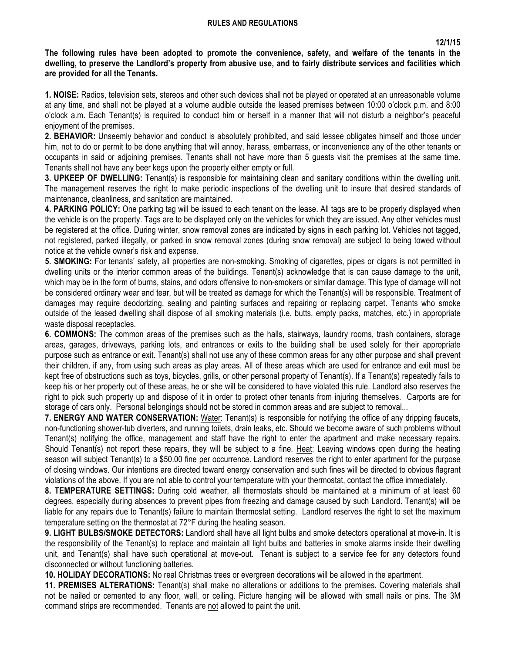## **RULES AND REGULATIONS**

**The following rules have been adopted to promote the convenience, safety, and welfare of the tenants in the dwelling, to preserve the Landlord's property from abusive use, and to fairly distribute services and facilities which are provided for all the Tenants.**

**1. NOISE:** Radios, television sets, stereos and other such devices shall not be played or operated at an unreasonable volume at any time, and shall not be played at a volume audible outside the leased premises between 10:00 o'clock p.m. and 8:00 o'clock a.m. Each Tenant(s) is required to conduct him or herself in a manner that will not disturb a neighbor's peaceful enjoyment of the premises.

**2. BEHAVIOR:** Unseemly behavior and conduct is absolutely prohibited, and said lessee obligates himself and those under him, not to do or permit to be done anything that will annoy, harass, embarrass, or inconvenience any of the other tenants or occupants in said or adjoining premises. Tenants shall not have more than 5 guests visit the premises at the same time. Tenants shall not have any beer kegs upon the property either empty or full.

**3. UPKEEP OF DWELLING:** Tenant(s) is responsible for maintaining clean and sanitary conditions within the dwelling unit. The management reserves the right to make periodic inspections of the dwelling unit to insure that desired standards of maintenance, cleanliness, and sanitation are maintained.

**4. PARKING POLICY:** One parking tag will be issued to each tenant on the lease. All tags are to be properly displayed when the vehicle is on the property. Tags are to be displayed only on the vehicles for which they are issued. Any other vehicles must be registered at the office. During winter, snow removal zones are indicated by signs in each parking lot. Vehicles not tagged, not registered, parked illegally, or parked in snow removal zones (during snow removal) are subject to being towed without notice at the vehicle owner's risk and expense.

**5. SMOKING:** For tenants' safety, all properties are non-smoking. Smoking of cigarettes, pipes or cigars is not permitted in dwelling units or the interior common areas of the buildings. Tenant(s) acknowledge that is can cause damage to the unit, which may be in the form of burns, stains, and odors offensive to non-smokers or similar damage. This type of damage will not be considered ordinary wear and tear, but will be treated as damage for which the Tenant(s) will be responsible. Treatment of damages may require deodorizing, sealing and painting surfaces and repairing or replacing carpet. Tenants who smoke outside of the leased dwelling shall dispose of all smoking materials (i.e. butts, empty packs, matches, etc.) in appropriate waste disposal receptacles.

**6. COMMONS:** The common areas of the premises such as the halls, stairways, laundry rooms, trash containers, storage areas, garages, driveways, parking lots, and entrances or exits to the building shall be used solely for their appropriate purpose such as entrance or exit. Tenant(s) shall not use any of these common areas for any other purpose and shall prevent their children, if any, from using such areas as play areas. All of these areas which are used for entrance and exit must be kept free of obstructions such as toys, bicycles, grills, or other personal property of Tenant(s). If a Tenant(s) repeatedly fails to keep his or her property out of these areas, he or she will be considered to have violated this rule. Landlord also reserves the right to pick such property up and dispose of it in order to protect other tenants from injuring themselves. Carports are for storage of cars only. Personal belongings should not be stored in common areas and are subject to removal...

**7. ENERGY AND WATER CONSERVATION:** Water: Tenant(s) is responsible for notifying the office of any dripping faucets, non-functioning shower-tub diverters, and running toilets, drain leaks, etc. Should we become aware of such problems without Tenant(s) notifying the office, management and staff have the right to enter the apartment and make necessary repairs. Should Tenant(s) not report these repairs, they will be subject to a fine. Heat: Leaving windows open during the heating season will subject Tenant(s) to a \$50.00 fine per occurrence. Landlord reserves the right to enter apartment for the purpose of closing windows. Our intentions are directed toward energy conservation and such fines will be directed to obvious flagrant violations of the above. If you are not able to control your temperature with your thermostat, contact the office immediately.

**8. TEMPERATURE SETTINGS:** During cold weather, all thermostats should be maintained at a minimum of at least 60 degrees, especially during absences to prevent pipes from freezing and damage caused by such Landlord. Tenant(s) will be liable for any repairs due to Tenant(s) failure to maintain thermostat setting. Landlord reserves the right to set the maximum temperature setting on the thermostat at 72°F during the heating season.

**9. LIGHT BULBS/SMOKE DETECTORS:** Landlord shall have all light bulbs and smoke detectors operational at move-in. It is the responsibility of the Tenant(s) to replace and maintain all light bulbs and batteries in smoke alarms inside their dwelling unit, and Tenant(s) shall have such operational at move-out. Tenant is subject to a service fee for any detectors found disconnected or without functioning batteries.

**10. HOLIDAY DECORATIONS:** No real Christmas trees or evergreen decorations will be allowed in the apartment.

**11. PREMISES ALTERATIONS:** Tenant(s) shall make no alterations or additions to the premises. Covering materials shall not be nailed or cemented to any floor, wall, or ceiling. Picture hanging will be allowed with small nails or pins. The 3M command strips are recommended. Tenants are not allowed to paint the unit.